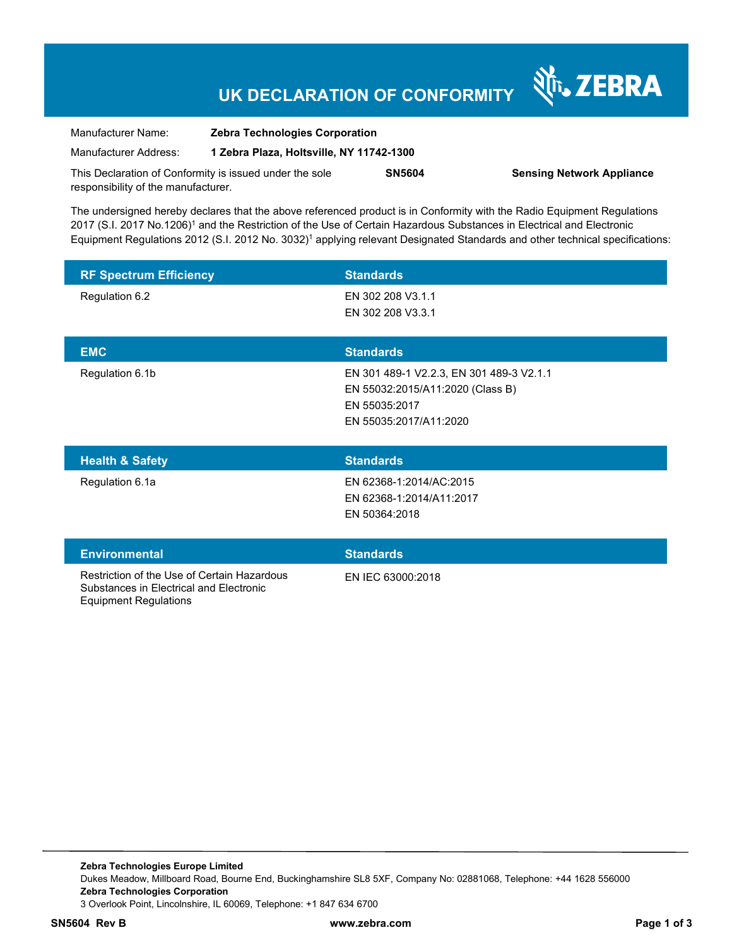## **UK DECLARATION OF CONFORMITY**

Nr. ZEBRA

| Manufacturer Name:                                      | <b>Zebra Technologies Corporation</b>    |               |                                  |
|---------------------------------------------------------|------------------------------------------|---------------|----------------------------------|
| Manufacturer Address:                                   | 1 Zebra Plaza, Holtsville, NY 11742-1300 |               |                                  |
| This Declaration of Conformity is issued under the sole |                                          | <b>SN5604</b> | <b>Sensing Network Appliance</b> |
| responsibility of the manufacturer.                     |                                          |               |                                  |

The undersigned hereby declares that the above referenced product is in Conformity with the Radio Equipment Regulations 2017 (S.I. 2017 No.1206)<sup>1</sup> and the Restriction of the Use of Certain Hazardous Substances in Electrical and Electronic Equipment Regulations 2012 (S.I. 2012 No. 3032)<sup>1</sup> applying relevant Designated Standards and other technical specifications:

| <b>RF Spectrum Efficiency</b>                                                                                          | <b>Standards</b>                                                                                                        |
|------------------------------------------------------------------------------------------------------------------------|-------------------------------------------------------------------------------------------------------------------------|
| Regulation 6.2                                                                                                         | EN 302 208 V3.1.1<br>EN 302 208 V3.3.1                                                                                  |
| <b>EMC</b>                                                                                                             | <b>Standards</b>                                                                                                        |
| Regulation 6.1b                                                                                                        | EN 301 489-1 V2.2.3, EN 301 489-3 V2.1.1<br>EN 55032:2015/A11:2020 (Class B)<br>EN 55035:2017<br>EN 55035:2017/A11:2020 |
| <b>Health &amp; Safety</b>                                                                                             | <b>Standards</b>                                                                                                        |
| Regulation 6.1a                                                                                                        | EN 62368-1:2014/AC:2015<br>EN 62368-1:2014/A11:2017<br>EN 50364:2018                                                    |
| <b>Environmental</b>                                                                                                   | <b>Standards</b>                                                                                                        |
| Restriction of the Use of Certain Hazardous<br>Substances in Electrical and Electronic<br><b>Equipment Regulations</b> | EN IEC 63000:2018                                                                                                       |

**Zebra Technologies Europe Limited**  Dukes Meadow, Millboard Road, Bourne End, Buckinghamshire SL8 5XF, Company No: 02881068, Telephone: +44 1628 556000 **Zebra Technologies Corporation**  3 Overlook Point, Lincolnshire, IL 60069, Telephone: +1 847 634 6700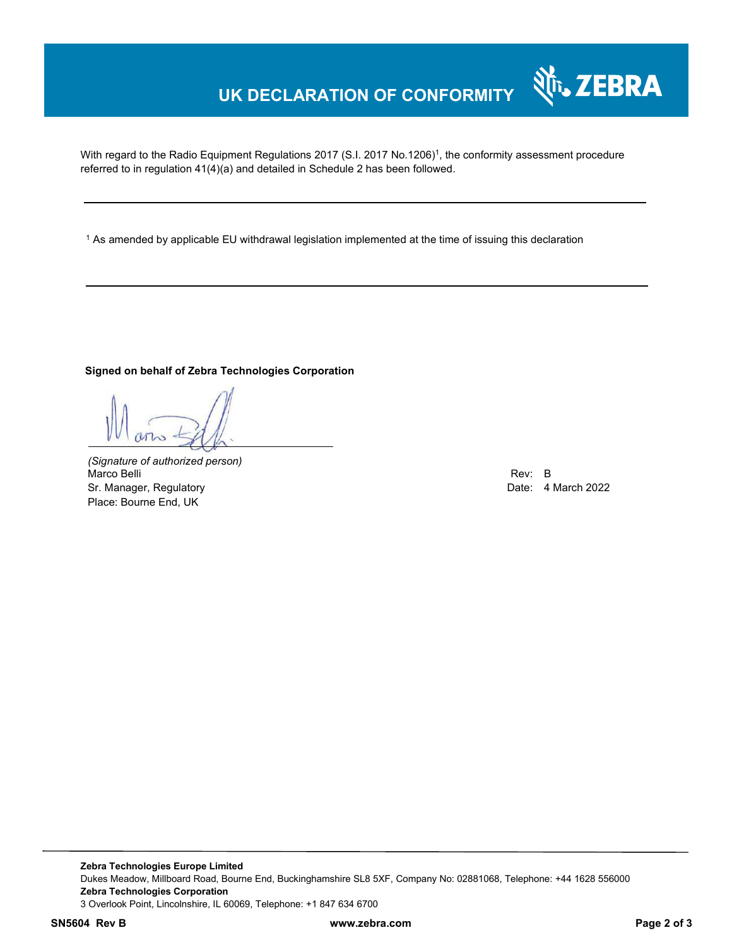### **UK DECLARATION OF CONFORMITY**

With regard to the Radio Equipment Regulations 2017 (S.I. 2017 No.1206)<sup>1</sup>, the conformity assessment procedure referred to in regulation 41(4)(a) and detailed in Schedule 2 has been followed.

1 As amended by applicable EU withdrawal legislation implemented at the time of issuing this declaration

### **Signed on behalf of Zebra Technologies Corporation**

*(Signature of authorized person)* Marco Belli Marco Belli (1992)<br>
Sr. Manager, Regulatory (1992)<br>
Sr. Manager, Regulatory (1992) Sr. Manager, Regulatory Place: Bourne End, UK

र्शे<sub>ि</sub>, ZEBRA